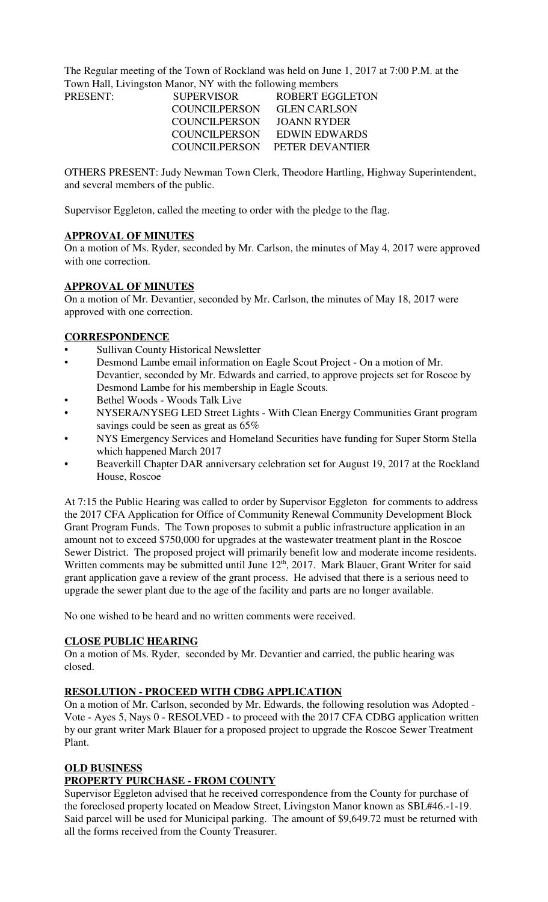The Regular meeting of the Town of Rockland was held on June 1, 2017 at 7:00 P.M. at the Town Hall, Livingston Manor, NY with the following members

| PRESENT: | <b>SUPERVISOR</b>    | ROBERT EGGLETON               |
|----------|----------------------|-------------------------------|
|          | COUNCILPERSON        | <b>GLEN CARLSON</b>           |
|          | <b>COUNCILPERSON</b> | JOANN RYDER                   |
|          | COUNCILPERSON        | <b>EDWIN EDWARDS</b>          |
|          |                      | COUNCILPERSON PETER DEVANTIER |
|          |                      |                               |

OTHERS PRESENT: Judy Newman Town Clerk, Theodore Hartling, Highway Superintendent, and several members of the public.

Supervisor Eggleton, called the meeting to order with the pledge to the flag.

### **APPROVAL OF MINUTES**

On a motion of Ms. Ryder, seconded by Mr. Carlson, the minutes of May 4, 2017 were approved with one correction.

### **APPROVAL OF MINUTES**

On a motion of Mr. Devantier, seconded by Mr. Carlson, the minutes of May 18, 2017 were approved with one correction.

### **CORRESPONDENCE**

- Sullivan County Historical Newsletter
- Desmond Lambe email information on Eagle Scout Project On a motion of Mr. Devantier, seconded by Mr. Edwards and carried, to approve projects set for Roscoe by Desmond Lambe for his membership in Eagle Scouts.
- Bethel Woods Woods Talk Live
- NYSERA/NYSEG LED Street Lights With Clean Energy Communities Grant program savings could be seen as great as 65%
- NYS Emergency Services and Homeland Securities have funding for Super Storm Stella which happened March 2017
- Beaverkill Chapter DAR anniversary celebration set for August 19, 2017 at the Rockland House, Roscoe

At 7:15 the Public Hearing was called to order by Supervisor Eggleton for comments to address the 2017 CFA Application for Office of Community Renewal Community Development Block Grant Program Funds. The Town proposes to submit a public infrastructure application in an amount not to exceed \$750,000 for upgrades at the wastewater treatment plant in the Roscoe Sewer District. The proposed project will primarily benefit low and moderate income residents. Written comments may be submitted until June  $12<sup>th</sup>$ , 2017. Mark Blauer, Grant Writer for said grant application gave a review of the grant process. He advised that there is a serious need to upgrade the sewer plant due to the age of the facility and parts are no longer available.

No one wished to be heard and no written comments were received.

### **CLOSE PUBLIC HEARING**

On a motion of Ms. Ryder, seconded by Mr. Devantier and carried, the public hearing was closed.

### **RESOLUTION - PROCEED WITH CDBG APPLICATION**

On a motion of Mr. Carlson, seconded by Mr. Edwards, the following resolution was Adopted - Vote - Ayes 5, Nays 0 - RESOLVED - to proceed with the 2017 CFA CDBG application written by our grant writer Mark Blauer for a proposed project to upgrade the Roscoe Sewer Treatment Plant.

### **OLD BUSINESS**

## **PROPERTY PURCHASE - FROM COUNTY**

Supervisor Eggleton advised that he received correspondence from the County for purchase of the foreclosed property located on Meadow Street, Livingston Manor known as SBL#46.-1-19. Said parcel will be used for Municipal parking. The amount of \$9,649.72 must be returned with all the forms received from the County Treasurer.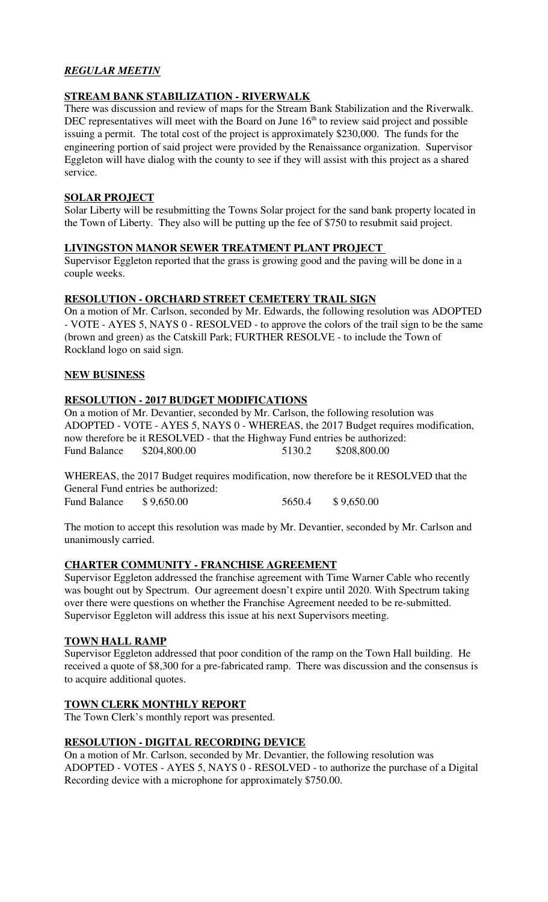## *REGULAR MEETIN*

### **STREAM BANK STABILIZATION - RIVERWALK**

There was discussion and review of maps for the Stream Bank Stabilization and the Riverwalk. DEC representatives will meet with the Board on June 16<sup>th</sup> to review said project and possible issuing a permit. The total cost of the project is approximately \$230,000. The funds for the engineering portion of said project were provided by the Renaissance organization. Supervisor Eggleton will have dialog with the county to see if they will assist with this project as a shared service.

## **SOLAR PROJECT**

Solar Liberty will be resubmitting the Towns Solar project for the sand bank property located in the Town of Liberty. They also will be putting up the fee of \$750 to resubmit said project.

### **LIVINGSTON MANOR SEWER TREATMENT PLANT PROJECT**

Supervisor Eggleton reported that the grass is growing good and the paving will be done in a couple weeks.

### **RESOLUTION - ORCHARD STREET CEMETERY TRAIL SIGN**

On a motion of Mr. Carlson, seconded by Mr. Edwards, the following resolution was ADOPTED - VOTE - AYES 5, NAYS 0 - RESOLVED - to approve the colors of the trail sign to be the same (brown and green) as the Catskill Park; FURTHER RESOLVE - to include the Town of Rockland logo on said sign.

### **NEW BUSINESS**

### **RESOLUTION - 2017 BUDGET MODIFICATIONS**

On a motion of Mr. Devantier, seconded by Mr. Carlson, the following resolution was ADOPTED - VOTE - AYES 5, NAYS 0 - WHEREAS, the 2017 Budget requires modification, now therefore be it RESOLVED - that the Highway Fund entries be authorized: Fund Balance \$204,800.00 5130.2 \$208,800.00

WHEREAS, the 2017 Budget requires modification, now therefore be it RESOLVED that the General Fund entries be authorized: Fund Balance \$ 9,650.00 5650.4 \$ 9,650.00

The motion to accept this resolution was made by Mr. Devantier, seconded by Mr. Carlson and unanimously carried.

## **CHARTER COMMUNITY - FRANCHISE AGREEMENT**

Supervisor Eggleton addressed the franchise agreement with Time Warner Cable who recently was bought out by Spectrum. Our agreement doesn't expire until 2020. With Spectrum taking over there were questions on whether the Franchise Agreement needed to be re-submitted. Supervisor Eggleton will address this issue at his next Supervisors meeting.

### **TOWN HALL RAMP**

Supervisor Eggleton addressed that poor condition of the ramp on the Town Hall building. He received a quote of \$8,300 for a pre-fabricated ramp. There was discussion and the consensus is to acquire additional quotes.

## **TOWN CLERK MONTHLY REPORT**

The Town Clerk's monthly report was presented.

## **RESOLUTION - DIGITAL RECORDING DEVICE**

On a motion of Mr. Carlson, seconded by Mr. Devantier, the following resolution was ADOPTED - VOTES - AYES 5, NAYS 0 - RESOLVED - to authorize the purchase of a Digital Recording device with a microphone for approximately \$750.00.